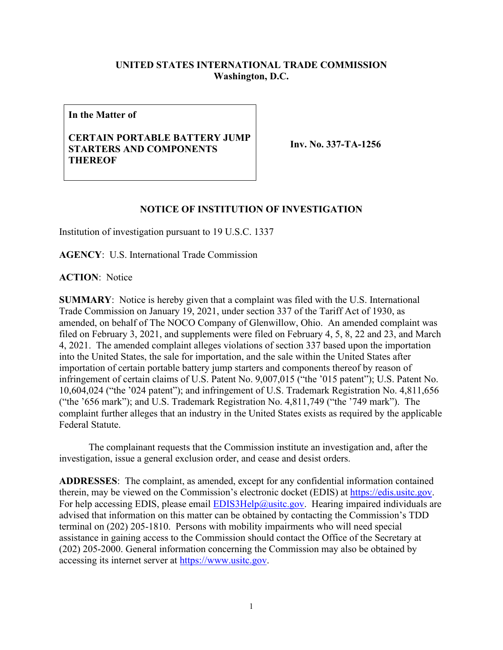## **UNITED STATES INTERNATIONAL TRADE COMMISSION Washington, D.C.**

**In the Matter of**

## **CERTAIN PORTABLE BATTERY JUMP STARTERS AND COMPONENTS THEREOF**

**Inv. No. 337-TA-1256**

## **NOTICE OF INSTITUTION OF INVESTIGATION**

Institution of investigation pursuant to 19 U.S.C. 1337

**AGENCY**: U.S. International Trade Commission

**ACTION**: Notice

**SUMMARY**: Notice is hereby given that a complaint was filed with the U.S. International Trade Commission on January 19, 2021, under section 337 of the Tariff Act of 1930, as amended, on behalf of The NOCO Company of Glenwillow, Ohio. An amended complaint was filed on February 3, 2021, and supplements were filed on February 4, 5, 8, 22 and 23, and March 4, 2021. The amended complaint alleges violations of section 337 based upon the importation into the United States, the sale for importation, and the sale within the United States after importation of certain portable battery jump starters and components thereof by reason of infringement of certain claims of U.S. Patent No. 9,007,015 ("the '015 patent"); U.S. Patent No. 10,604,024 ("the '024 patent"); and infringement of U.S. Trademark Registration No. 4,811,656 ("the '656 mark"); and U.S. Trademark Registration No. 4,811,749 ("the '749 mark"). The complaint further alleges that an industry in the United States exists as required by the applicable Federal Statute.

The complainant requests that the Commission institute an investigation and, after the investigation, issue a general exclusion order, and cease and desist orders.

**ADDRESSES**: The complaint, as amended, except for any confidential information contained therein, may be viewed on the Commission's electronic docket (EDIS) at [https://edis.usitc.gov.](https://edis.usitc.gov/) For help accessing EDIS, please email  $EDIS3Help@usite.gov$ . Hearing impaired individuals are advised that information on this matter can be obtained by contacting the Commission's TDD terminal on (202) 205-1810. Persons with mobility impairments who will need special assistance in gaining access to the Commission should contact the Office of the Secretary at (202) 205-2000. General information concerning the Commission may also be obtained by accessing its internet server at [https://www.usitc.gov.](https://www.usitc.gov/)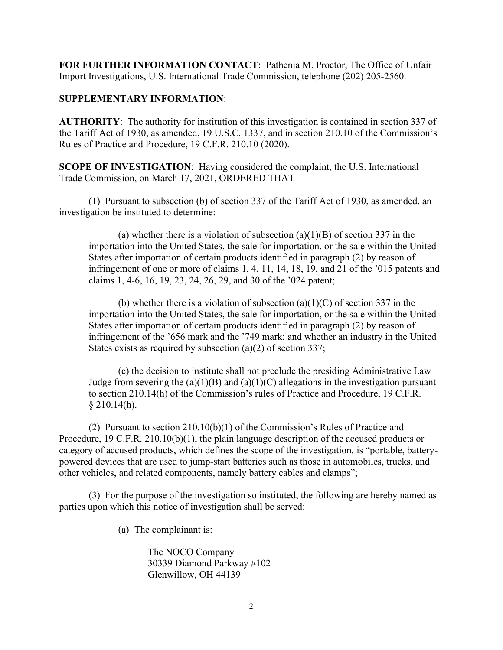**FOR FURTHER INFORMATION CONTACT**: Pathenia M. Proctor, The Office of Unfair Import Investigations, U.S. International Trade Commission, telephone (202) 205-2560.

## **SUPPLEMENTARY INFORMATION**:

**AUTHORITY**: The authority for institution of this investigation is contained in section 337 of the Tariff Act of 1930, as amended, 19 U.S.C. 1337, and in section 210.10 of the Commission's Rules of Practice and Procedure, 19 C.F.R. 210.10 (2020).

**SCOPE OF INVESTIGATION**: Having considered the complaint, the U.S. International Trade Commission, on March 17, 2021, ORDERED THAT –

(1) Pursuant to subsection (b) of section 337 of the Tariff Act of 1930, as amended, an investigation be instituted to determine:

(a) whether there is a violation of subsection  $(a)(1)(B)$  of section 337 in the importation into the United States, the sale for importation, or the sale within the United States after importation of certain products identified in paragraph (2) by reason of infringement of one or more of claims 1, 4, 11, 14, 18, 19, and 21 of the '015 patents and claims 1, 4-6, 16, 19, 23, 24, 26, 29, and 30 of the '024 patent;

(b) whether there is a violation of subsection (a)(1)(C) of section 337 in the importation into the United States, the sale for importation, or the sale within the United States after importation of certain products identified in paragraph (2) by reason of infringement of the '656 mark and the '749 mark; and whether an industry in the United States exists as required by subsection (a)(2) of section 337;

(c) the decision to institute shall not preclude the presiding Administrative Law Judge from severing the  $(a)(1)(B)$  and  $(a)(1)(C)$  allegations in the investigation pursuant to section 210.14(h) of the Commission's rules of Practice and Procedure, 19 C.F.R.  $§$  210.14(h).

(2) Pursuant to section 210.10(b)(1) of the Commission's Rules of Practice and Procedure, 19 C.F.R. 210.10(b)(1), the plain language description of the accused products or category of accused products, which defines the scope of the investigation, is "portable, batterypowered devices that are used to jump-start batteries such as those in automobiles, trucks, and other vehicles, and related components, namely battery cables and clamps";

(3) For the purpose of the investigation so instituted, the following are hereby named as parties upon which this notice of investigation shall be served:

(a) The complainant is:

The NOCO Company 30339 Diamond Parkway #102 Glenwillow, OH 44139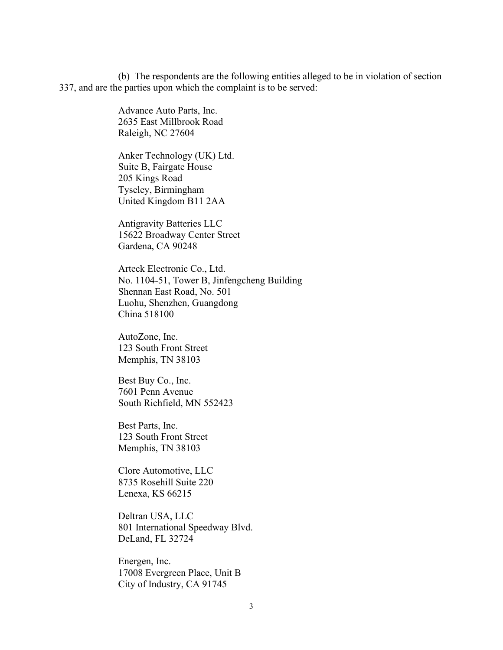(b) The respondents are the following entities alleged to be in violation of section 337, and are the parties upon which the complaint is to be served:

> Advance Auto Parts, Inc. 2635 East Millbrook Road Raleigh, NC 27604

Anker Technology (UK) Ltd. Suite B, Fairgate House 205 Kings Road Tyseley, Birmingham United Kingdom B11 2AA

Antigravity Batteries LLC 15622 Broadway Center Street Gardena, CA 90248

Arteck Electronic Co., Ltd. No. 1104-51, Tower B, Jinfengcheng Building Shennan East Road, No. 501 Luohu, Shenzhen, Guangdong China 518100

AutoZone, Inc. 123 South Front Street Memphis, TN 38103

Best Buy Co., Inc. 7601 Penn Avenue South Richfield, MN 552423

Best Parts, Inc. 123 South Front Street Memphis, TN 38103

Clore Automotive, LLC 8735 Rosehill Suite 220 Lenexa, KS 66215

Deltran USA, LLC 801 International Speedway Blvd. DeLand, FL 32724

Energen, Inc. 17008 Evergreen Place, Unit B City of Industry, CA 91745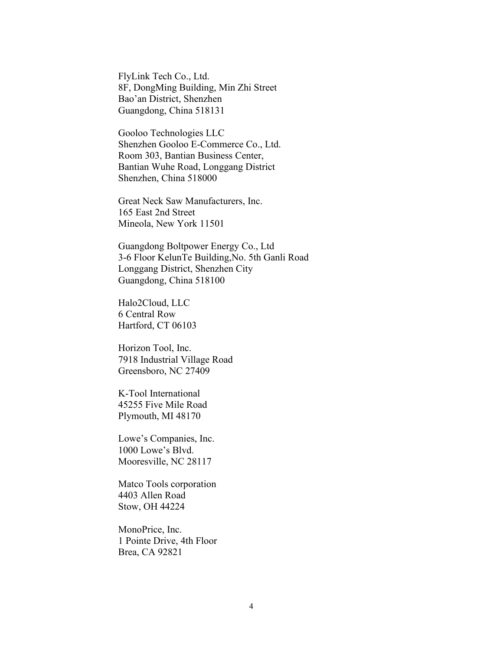FlyLink Tech Co., Ltd. 8F, DongMing Building, Min Zhi Street Bao'an District, Shenzhen Guangdong, China 518131

Gooloo Technologies LLC Shenzhen Gooloo E-Commerce Co., Ltd. Room 303, Bantian Business Center, Bantian Wuhe Road, Longgang District Shenzhen, China 518000

Great Neck Saw Manufacturers, Inc. 165 East 2nd Street Mineola, New York 11501

Guangdong Boltpower Energy Co., Ltd 3-6 Floor KelunTe Building,No. 5th Ganli Road Longgang District, Shenzhen City Guangdong, China 518100

Halo2Cloud, LLC 6 Central Row Hartford, CT 06103

Horizon Tool, Inc. 7918 Industrial Village Road Greensboro, NC 27409

K-Tool International 45255 Five Mile Road Plymouth, MI 48170

Lowe's Companies, Inc. 1000 Lowe's Blvd. Mooresville, NC 28117

Matco Tools corporation 4403 Allen Road Stow, OH 44224

MonoPrice, Inc. 1 Pointe Drive, 4th Floor Brea, CA 92821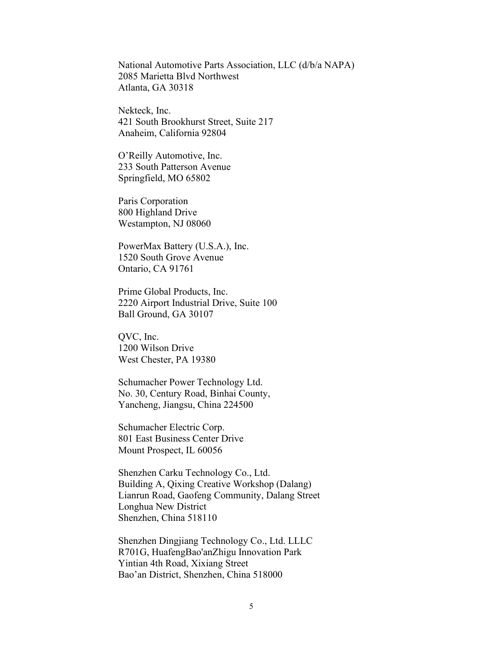National Automotive Parts Association, LLC (d/b/a NAPA) 2085 Marietta Blvd Northwest Atlanta, GA 30318

Nekteck, Inc. 421 South Brookhurst Street, Suite 217 Anaheim, California 92804

O'Reilly Automotive, Inc. 233 South Patterson Avenue Springfield, MO 65802

Paris Corporation 800 Highland Drive Westampton, NJ 08060

PowerMax Battery (U.S.A.), Inc. 1520 South Grove Avenue Ontario, CA 91761

Prime Global Products, Inc. 2220 Airport Industrial Drive, Suite 100 Ball Ground, GA 30107

QVC, Inc. 1200 Wilson Drive West Chester, PA 19380

Schumacher Power Technology Ltd. No. 30, Century Road, Binhai County, Yancheng, Jiangsu, China 224500

Schumacher Electric Corp. 801 East Business Center Drive Mount Prospect, IL 60056

Shenzhen Carku Technology Co., Ltd. Building A, Qixing Creative Workshop (Dalang) Lianrun Road, Gaofeng Community, Dalang Street Longhua New District Shenzhen, China 518110

Shenzhen Dingjiang Technology Co., Ltd. LLLC R701G, HuafengBao'anZhigu Innovation Park Yintian 4th Road, Xixiang Street Bao'an District, Shenzhen, China 518000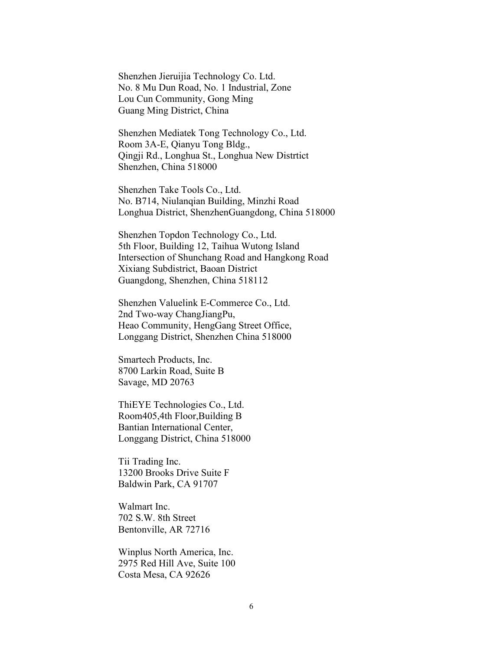Shenzhen Jieruijia Technology Co. Ltd. No. 8 Mu Dun Road, No. 1 Industrial, Zone Lou Cun Community, Gong Ming Guang Ming District, China

Shenzhen Mediatek Tong Technology Co., Ltd. Room 3A-E, Qianyu Tong Bldg., Qingji Rd., Longhua St., Longhua New Distrtict Shenzhen, China 518000

Shenzhen Take Tools Co., Ltd. No. B714, Niulanqian Building, Minzhi Road Longhua District, ShenzhenGuangdong, China 518000

Shenzhen Topdon Technology Co., Ltd. 5th Floor, Building 12, Taihua Wutong Island Intersection of Shunchang Road and Hangkong Road Xixiang Subdistrict, Baoan District Guangdong, Shenzhen, China 518112

Shenzhen Valuelink E-Commerce Co., Ltd. 2nd Two-way ChangJiangPu, Heao Community, HengGang Street Office, Longgang District, Shenzhen China 518000

Smartech Products, Inc. 8700 Larkin Road, Suite B Savage, MD 20763

ThiEYE Technologies Co., Ltd. Room405,4th Floor,Building B Bantian International Center, Longgang District, China 518000

Tii Trading Inc. 13200 Brooks Drive Suite F Baldwin Park, CA 91707

Walmart Inc. 702 S.W. 8th Street Bentonville, AR 72716

Winplus North America, Inc. 2975 Red Hill Ave, Suite 100 Costa Mesa, CA 92626